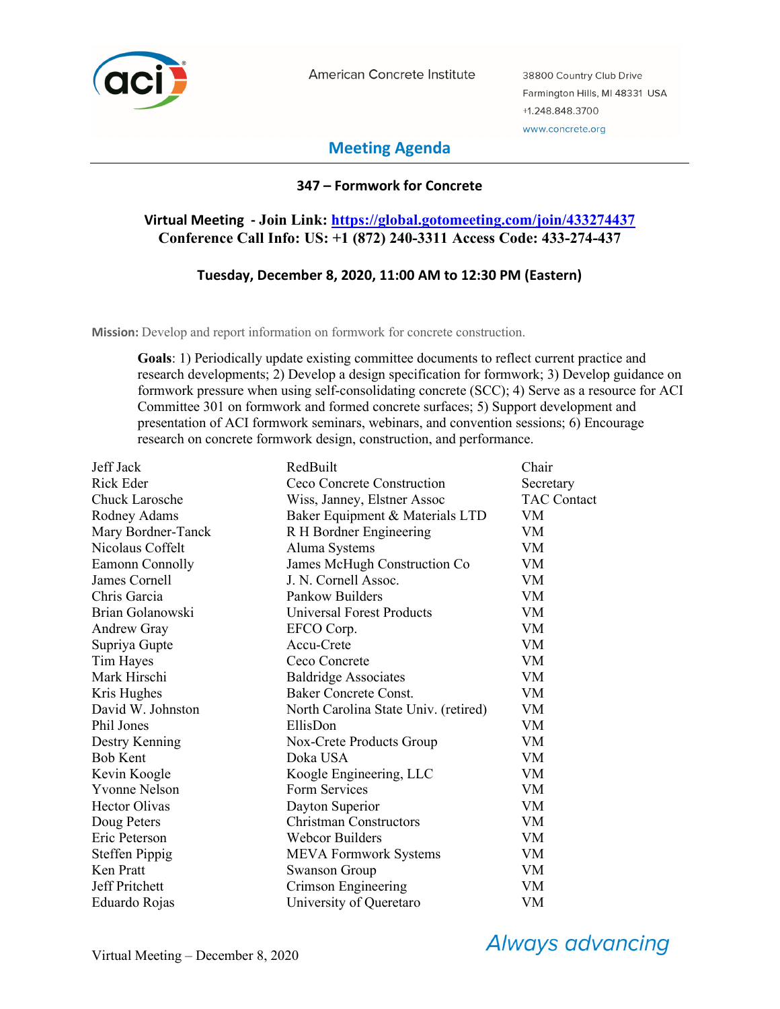

American Concrete Institute

38800 Country Club Drive Farmington Hills, MI 48331 USA +1.248.848.3700 www.concrete.org

# **Meeting Agenda**

## **347 – Formwork for Concrete**

## **Virtual Meeting - Join Link: https://global.gotomeeting.com/join/433274437 Conference Call Info: US: +1 (872) 240-3311 Access Code: 433-274-437**

## **Tuesday, December 8, 2020, 11:00 AM to 12:30 PM (Eastern)**

**Mission:** Develop and report information on formwork for concrete construction.

**Goals**: 1) Periodically update existing committee documents to reflect current practice and research developments; 2) Develop a design specification for formwork; 3) Develop guidance on formwork pressure when using self-consolidating concrete (SCC); 4) Serve as a resource for ACI Committee 301 on formwork and formed concrete surfaces; 5) Support development and presentation of ACI formwork seminars, webinars, and convention sessions; 6) Encourage research on concrete formwork design, construction, and performance.

| Jeff Jack             | RedBuilt                             | Chair              |
|-----------------------|--------------------------------------|--------------------|
| Rick Eder             | Ceco Concrete Construction           | Secretary          |
| <b>Chuck Larosche</b> | Wiss, Janney, Elstner Assoc          | <b>TAC Contact</b> |
| Rodney Adams          | Baker Equipment & Materials LTD      | VM                 |
| Mary Bordner-Tanck    | R H Bordner Engineering              | VM                 |
| Nicolaus Coffelt      | Aluma Systems                        | VM                 |
| Eamonn Connolly       | James McHugh Construction Co         | VM                 |
| James Cornell         | J. N. Cornell Assoc.                 | VM                 |
| Chris Garcia          | Pankow Builders                      | VM                 |
| Brian Golanowski      | <b>Universal Forest Products</b>     | VM                 |
| <b>Andrew Gray</b>    | EFCO Corp.                           | VM                 |
| Supriya Gupte         | Accu-Crete                           | VM                 |
| Tim Hayes             | Ceco Concrete                        | VM                 |
| Mark Hirschi          | <b>Baldridge Associates</b>          | VM                 |
| Kris Hughes           | <b>Baker Concrete Const.</b>         | VM                 |
| David W. Johnston     | North Carolina State Univ. (retired) | VM                 |
| Phil Jones            | EllisDon                             | VM                 |
| Destry Kenning        | Nox-Crete Products Group             | VM                 |
| <b>Bob Kent</b>       | Doka USA                             | VM                 |
| Kevin Koogle          | Koogle Engineering, LLC              | VM                 |
| <b>Yvonne Nelson</b>  | Form Services                        | VM                 |
| <b>Hector Olivas</b>  | Dayton Superior                      | <b>VM</b>          |
| Doug Peters           | <b>Christman Constructors</b>        | VM                 |
| Eric Peterson         | <b>Webcor Builders</b>               | <b>VM</b>          |
| <b>Steffen Pippig</b> | <b>MEVA Formwork Systems</b>         | <b>VM</b>          |
| Ken Pratt             | <b>Swanson Group</b>                 | VM                 |
| Jeff Pritchett        | Crimson Engineering                  | VM                 |
| Eduardo Rojas         | University of Queretaro              | VM                 |